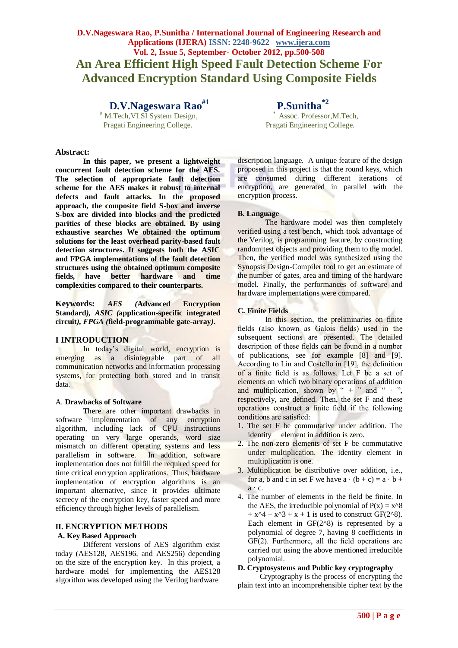# **D.V.Nageswara Rao, P.Sunitha / International Journal of Engineering Research and Applications (IJERA) ISSN: 2248-9622 www.ijera.com Vol. 2, Issue 5, September- October 2012, pp.500-508 An Area Efficient High Speed Fault Detection Scheme For Advanced Encryption Standard Using Composite Fields**

 **D.V.Nageswara Rao#1 P.Sunitha\*2** M.Tech, VLSI System Design, Pragati Engineering College. Pragati Engineering College.

**Abstract:**

**In this paper, we present a lightweight concurrent fault detection scheme for the AES. The selection of appropriate fault detection scheme for the AES makes it robust to internal defects and fault attacks. In the proposed approach, the composite field S-box and inverse S-box are divided into blocks and the predicted parities of these blocks are obtained. By using exhaustive searches We obtained the optimum solutions for the least overhead parity-based fault detection structures. It suggests both the ASIC and FPGA implementations of the fault detection structures using the obtained optimum composite fields, have better hardware and time complexities compared to their counterparts.**

**Keywords:** *AES (***Advanced Encryption Standard***), ASIC (***application-specific integrated circuit***), FPGA (***field-programmable gate-array***)***.**

#### **I INTRODUCTION**

In today"s digital world, encryption is emerging as a disintegrable part of all communication networks and information processing systems, for protecting both stored and in transit data.

#### A. **Drawbacks of Software**

There are other important drawbacks in software implementation of any encryption algorithm, including lack of CPU instructions operating on very large operands, word size mismatch on different operating systems and less parallelism in software. In addition, software implementation does not fulfill the required speed for time critical encryption applications. Thus, hardware implementation of encryption algorithms is an important alternative, since it provides ultimate secrecy of the encryption key, faster speed and more efficiency through higher levels of parallelism.

# **II. ENCRYPTION METHODS**

# **A. Key Based Approach**

Different versions of AES algorithm exist today (AES128, AES196, and AES256) depending on the size of the encryption key. In this project, a hardware model for implementing the AES128 algorithm was developed using the Verilog hardware

Assoc. Professor, M.Tech,

description language. A unique feature of the design proposed in this project is that the round keys, which are consumed during different iterations of encryption, are generated in parallel with the encryption process.

#### **B. Language**

The hardware model was then completely verified using a test bench, which took advantage of the Verilog, is programming feature, by constructing random test objects and providing them to the model. Then, the verified model was synthesized using the Synopsis Design-Compiler tool to get an estimate of the number of gates, area and timing of the hardware model. Finally, the performances of software and hardware implementations were compared.

#### **C. Finite Fields**

In this section, the preliminaries on finite fields (also known as Galois fields) used in the subsequent sections are presented. The detailed description of these fields can be found in a number of publications, see for example [8] and [9]. According to Lin and Costello in [19], the definition of a finite field is as follows. Let F be a set of elements on which two binary operations of addition and multiplication, shown by " + " and "  $\cdot$ ", respectively, are defined. Then, the set F and these operations construct a finite field if the following conditions are satisfied:

- 1. The set F be commutative under addition. The identity element in addition is zero.
- 2. The non-zero elements of set F be commutative under multiplication. The identity element in multiplication is one.
- 3. Multiplication be distributive over addition, i.e., for a, b and c in set F we have  $a \cdot (b + c) = a \cdot b + c$  $a \cdot c$ .
- 4. The number of elements in the field be finite. In the AES, the irreducible polynomial of  $P(x) = x^8$ +  $x^4 + x^3 + x + 1$  is used to construct GF(2^8). Each element in  $GF(2^{\wedge}8)$  is represented by a polynomial of degree 7, having 8 coefficients in GF(2). Furthermore, all the field operations are carried out using the above mentioned irreducible polynomial.

#### **D. Cryptosystems and Public key cryptography**

Cryptography is the process of encrypting the plain text into an incomprehensible cipher text by the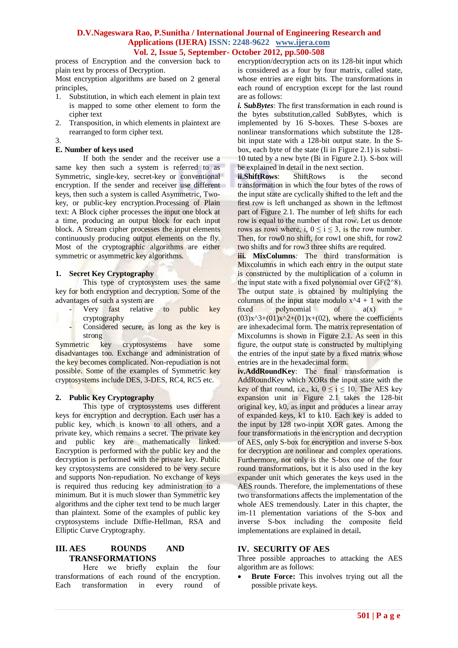process of Encryption and the conversion back to plain text by process of Decryption.

Most encryption algorithms are based on 2 general principles,

- 1. Substitution, in which each element in plain text is mapped to some other element to form the cipher text
- 2. Transposition, in which elements in plaintext are rearranged to form cipher text.
- 3.

# **E. Number of keys used**

If both the sender and the receiver use a same key then such a system is referred to as Symmetric, single-key, secret-key or conventional encryption. If the sender and receiver use different keys, then such a system is called Asymmetric, Twokey, or public-key encryption.Processing of Plain text: A Block cipher processes the input one block at a time, producing an output block for each input block. A Stream cipher processes the input elements continuously producing output elements on the fly. Most of the cryptographic algorithms are either symmetric or asymmetric key algorithms.

# **1. Secret Key Cryptography**

This type of cryptosystem uses the same key for both encryption and decryption. Some of the advantages of such a system are

- Very fast relative to public key cryptography
- Considered secure, as long as the key is strong

Symmetric key cryptosystems have some disadvantages too. Exchange and administration of the key becomes complicated. Non-repudiation is not possible. Some of the examples of Symmetric key cryptosystems include DES, 3-DES, RC4, RC5 etc.

# **2. Public Key Cryptography**

This type of cryptosystems uses different keys for encryption and decryption. Each user has a public key, which is known to all others, and a private key, which remains a secret. The private key and public key are mathematically linked. Encryption is performed with the public key and the decryption is performed with the private key. Public key cryptosystems are considered to be very secure and supports Non-repudiation. No exchange of keys is required thus reducing key administration to a minimum. But it is much slower than Symmetric key algorithms and the cipher text tend to be much larger than plaintext. Some of the examples of public key cryptosystems include Diffie-Hellman, RSA and Elliptic Curve Cryptography.

# **III. AES ROUNDS AND TRANSFORMATIONS**

Here we briefly explain the four transformations of each round of the encryption. Each transformation in every round of encryption/decryption acts on its 128-bit input which is considered as a four by four matrix, called state, whose entries are eight bits. The transformations in each round of encryption except for the last round are as follows:

*i.* **SubBytes**: The first transformation in each round is the bytes substitution,called SubBytes, which is implemented by 16 S-boxes. These S-boxes are nonlinear transformations which substitute the 128 bit input state with a 128-bit output state. In the Sbox, each byte of the state (Ii in Figure 2.1) is substi-10 tuted by a new byte (Bi in Figure 2.1). S-box will be explained in detail in the next section.

**ii.ShiftRows**: ShiftRows is the second transformation in which the four bytes of the rows of the input state are cyclically shifted to the left and the first row is left unchanged as shown in the leftmost part of Figure 2.1. The number of left shifts for each row is equal to the number of that row. Let us denote rows as rowi where, i,  $0 \le i \le 3$ , is the row number. Then, for row0 no shift, for row1 one shift, for row2 two shifts and for row3 three shifts are required.

**iii. MixColumns***:* The third transformation is Mixcolumns in which each entry in the output state is constructed by the multiplication of a column in the input state with a fixed polynomial over  $GF(2^8)$ . The output state is obtained by multiplying the columns of the input state modulo  $x^4 + 1$  with the  $fixed$  polynomial of  $a(x)$  $(03)x^{3}+(01)x^{2}+(01)x+(02)$ , where the coefficients are inhexadecimal form. The matrix representation of Mixcolumns is shown in Figure 2.1. As seen in this figure, the output state is constructed by multiplying the entries of the input state by a fixed matrix whose entries are in the hexadecimal form.

**iv.AddRoundKey**: The final transformation is AddRoundKey which XORs the input state with the key of that round, i.e., ki,  $0 \le i \le 10$ . The AES key expansion unit in Figure 2.1 takes the 128-bit original key, k0, as input and produces a linear array of expanded keys, k1 to k10. Each key is added to the input by 128 two-input XOR gates. Among the four transformations in the encryption and decryption of AES, only S-box for encryption and inverse S-box for decryption are nonlinear and complex operations. Furthermore, not only is the S-box one of the four round transformations, but it is also used in the key expander unit which generates the keys used in the AES rounds. Therefore, the implementations of these two transformations affects the implementation of the whole AES tremendously. Later in this chapter, the im-11 plementation variations of the S-box and inverse S-box including the composite field implementations are explained in detail**.**

# **IV. SECURITY OF AES**

Three possible approaches to attacking the AES algorithm are as follows:

 **Brute Force:** This involves trying out all the possible private keys.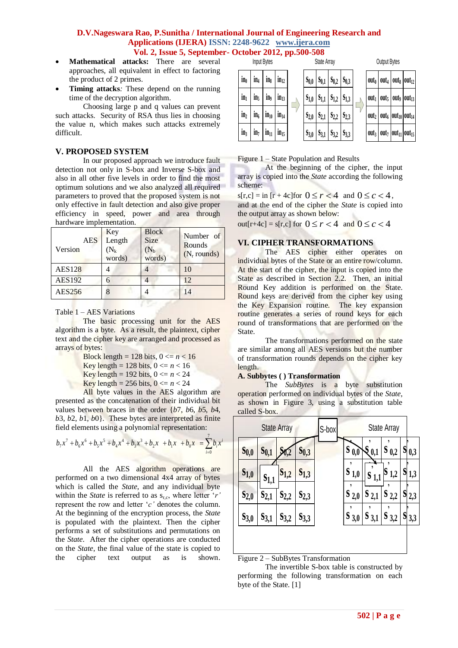- 
- **Mathematical attacks:** There are several approaches, all equivalent in effect to factoring the product of 2 primes.
- **Timing attacks***:* These depend on the running time of the decryption algorithm.

Choosing large p and q values can prevent such attacks. Security of RSA thus lies in choosing the value n, which makes such attacks extremely difficult.

# **V. PROPOSED SYSTEM**

In our proposed approach we introduce fault detection not only in S-box and Inverse S-box and also in all other five levels in order to find the most optimum solutions and we also analyzed all required parameters to proved that the proposed system is not only effective in fault detection and also give proper efficiency in speed, power and area through hardware implementation.

| <b>AES</b><br>Version | Key<br>Length<br>$(N_k)$<br>words) | <b>Block</b><br><b>Size</b><br>$(N_b)$<br>words) | Number of<br>Rounds<br>$(N_r$ rounds) |  |
|-----------------------|------------------------------------|--------------------------------------------------|---------------------------------------|--|
| <b>AES128</b>         |                                    |                                                  | 10                                    |  |
| <b>AES192</b>         | 6                                  |                                                  | 12                                    |  |
| AES256                | 8                                  |                                                  | 14                                    |  |

Table 1 – AES Variations

The basic processing unit for the AES algorithm is a byte. As a result, the plaintext, cipher text and the cipher key are arranged and processed as arrays of bytes:

**KY** 

- Block length = 128 bits,  $0 \le n \le 16$
- Key length = 128 bits,  $0 \le n < 16$
- Key length = 192 bits,  $0 \le n \le 24$
- Key length = 256 bits,  $0 \le n \le 24$

All byte values in the AES algorithm are presented as the concatenation of their individual bit values between braces in the order {*b*7, *b*6, *b*5, *b*4, *b*3, *b*2, *b*1, *b*0}. These bytes are interpreted as finite field elements using a polynomial representation:

$$
b_7x^7 + b_6x^6 + b_5x^5 + b_4x^4 + b_3x^3 + b_2x + b_1x + b_0x = \sum_{i=0}^{7} b_i x^i
$$

All the AES algorithm operations are performed on a two dimensional 4x4 array of bytes which is called the *State*, and any individual byte within the *State* is referred to as s<sub>r,c</sub>, where letter 'r' represent the row and letter "*c"* denotes the column. At the beginning of the encryption process, the *State* is populated with the plaintext. Then the cipher performs a set of substitutions and permutations on the *State*. After the cipher operations are conducted on the *State*, the final value of the state is copied to the cipher text output as is shown.



Figure 1 – State Population and Results

At the beginning of the cipher, the input array is copied into the *State* according the following scheme:

 $s[r,c] = \text{in [r + 4c]}$  for  $0 \le r < 4$  and  $0 \le c < 4$ , and at the end of the cipher the *State* is copied into the output array as shown below:

 $\text{out}[r+4c] = s[r,c] \text{ for } 0 \le r < 4 \text{ and } 0 \le c < 4$ 

# **VI. CIPHER TRANSFORMATIONS**

The AES cipher either operates on individual bytes of the State or an entire row/column. At the start of the cipher, the input is copied into the State as described in Section 2.2. Then, an initial Round Key addition is performed on the State. Round keys are derived from the cipher key using the Key Expansion routine. The key expansion routine generates a series of round keys for each round of transformations that are performed on the State.

The transformations performed on the state are similar among all AES versions but the number of transformation rounds depends on the cipher key length.

# **A. Subbytes ( ) Transformation**

The *SubBytes* is a byte substitution operation performed on individual bytes of the *State*, as shown in Figure 3, using a substitution table called S-box.



Figure 2 – SubBytes Transformation

The invertible S-box table is constructed by performing the following transformation on each byte of the State. [1]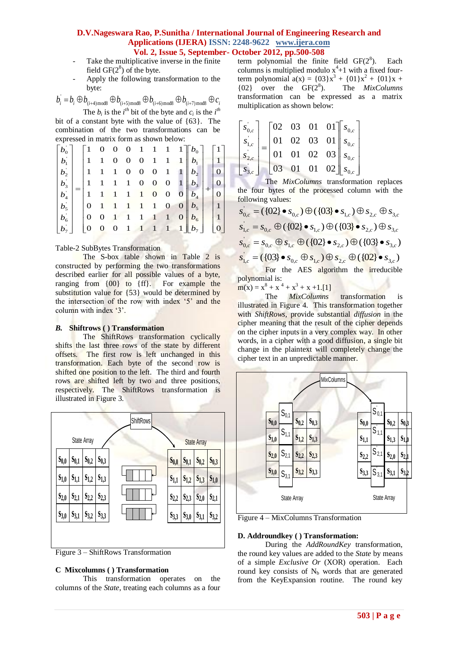- Take the multiplicative inverse in the finite field  $GF(2^8)$  of the byte.
- Apply the following transformation to the byte:

$$
b_i = b_i \oplus b_{(i+4)\text{mod}8} \oplus b_{(i+5)\text{mod}8} \oplus b_{(i+6)\text{mod}8} \oplus b_{(i+7)\text{mod}8} \oplus c_i
$$
  
The  $b_i$  is the  $i^{th}$  bit of the byte and  $c_i$  is the  $i^{th}$ 

bit of a constant byte with the value of {63}. The combination of the two transformations can be expressed in matrix form as shown below:

|                   |  | $\mathbf{1}$ |                                                           |                  |                     |                  |                                                        |                 | 0 0 0 1 1 1 $1 \parallel b_0$ |                   |                 |
|-------------------|--|--------------|-----------------------------------------------------------|------------------|---------------------|------------------|--------------------------------------------------------|-----------------|-------------------------------|-------------------|-----------------|
| $ b_1 $           |  | 1 1          |                                                           | $\boldsymbol{0}$ | $0 \quad 0 \quad 1$ |                  | $1 \quad 1$                                            |                 | $b_{1}$                       | 1 <sup>1</sup>    |                 |
| $ b_2 $           |  |              | $1 \quad 1 \quad 1 \quad 0 \quad 0 \quad 0$               |                  |                     |                  | $\overline{1}$                                         | $\vert 1 \vert$ | $b_{2}$                       | $\vert 0 \vert$   |                 |
|                   |  |              | $1 \quad 1 \quad 1 \quad 1 \quad 0 \quad 0$               |                  |                     |                  | $\overline{\mathbf{0}}$                                | $1 \parallel$   | $b_{3}$                       | $\overline{0}$    |                 |
| $(b_4^+)$         |  |              | $\begin{array}{cccccc} 1 & 1 & 1 & 1 & 1 & 1 \end{array}$ |                  |                     | $\boldsymbol{0}$ | $\mathbf{O}$                                           |                 | $0 \mid b_4 \mid$             | $\vert 0 \vert$   |                 |
| $ b_5 $           |  |              | $0$ 1 1 1 1 1                                             |                  |                     |                  | $\mathbf 0$                                            |                 | $0 \mid b_5 \mid$             | 1                 |                 |
| $\big b_{6}\big $ |  |              | $\overline{0}$                                            |                  |                     |                  | $\begin{array}{ccccc}\n1 & 1 & 1 & 1 & 1\n\end{array}$ |                 |                               | $0 \mid b_6 \mid$ | $\vert 1 \vert$ |
|                   |  |              |                                                           |                  | $0$ 1 1 1           |                  | $1\quad1$                                              |                 |                               | $\overline{0}$    |                 |

# Table-2 SubBytes Transformation

The S-box table shown in Table 2 is constructed by performing the two transformations described earlier for all possible values of a byte, ranging from {00} to {ff}. For example the substitution value for  $\{53\}$  would be determined by the intersection of the row with index "5" and the column with index '3'.

# *B.* **Shiftrows ( ) Transformation**

The ShiftRows transformation cyclically shifts the last three rows of the state by different offsets. The first row is left unchanged in this transformation. Each byte of the second row is shifted one position to the left. The third and fourth rows are shifted left by two and three positions, respectively. The ShiftRows transformation is illustrated in Figure 3.



Figure 3 – ShiftRows Transformation

#### **C Mixcolumns ( ) Transformation**

This transformation operates on the columns of the *State*, treating each columns as a four term polynomial the finite field  $GF(2<sup>8</sup>)$ . ). Each columns is multiplied modulo  $x^4+1$  with a fixed fourterm polynomial  $a(x) = {03}x^3 + {01}x^2 + {01}x +$  ${02}$  over the GF( $2^8$ ). ). The *MixColumns* transformation can be expressed as a matrix multiplication as shown below:

| $ s_{0,c} $                                 |  |          |  | $\begin{bmatrix} 02 & 03 & 01 & 01 \end{bmatrix} s_{0,c}$   |
|---------------------------------------------|--|----------|--|-------------------------------------------------------------|
| $S_{1,c}$ <sub>=</sub>                      |  |          |  | $\begin{vmatrix} 01 & 02 & 03 & 01 \end{vmatrix}$ $s_{0,c}$ |
| $\left  \right. s_{2,c}^{'} \left. \right $ |  |          |  | $=$ 01 01 02 03 $s_{0,c}$                                   |
| $S_{3,c}$                                   |  | 03 01 01 |  | 02 $\mid s_{0,c} \mid$                                      |

The *MixColumns* transformation replaces the four bytes of the processed column with the following values:

$$
s_{0,c} = (\{02\} \bullet s_{0,c}) \oplus (\{03\} \bullet s_{1,c}) \oplus s_{2,c} \oplus s_{3,c}
$$
  
\n
$$
s_{1,c} = s_{0,c} \oplus (\{02\} \bullet s_{1,c}) \oplus (\{03\} \bullet s_{2,c}) \oplus s_{3,c}
$$
  
\n
$$
s_{0,c} = s_{0,c} \oplus s_{1,c} \oplus (\{02\} \bullet s_{2,c}) \oplus (\{03\} \bullet s_{3,c})
$$
  
\n
$$
s_{1,c} = (\{03\} \bullet s_{0,c} \oplus s_{1,c}) \oplus s_{2,c} \oplus (\{02\} \bullet s_{3,c})
$$
  
\nFor the AES algorithm the irreducible

polynomial is:

 $m(x) = x^8 + x^4 + x^3 + x + 1$ .[1]

The *MixColumns* transformation is illustrated in Figure 4. This transformation together with *ShiftRows*, provide substantial *diffusion* in the cipher meaning that the result of the cipher depends on the cipher inputs in a very complex way. In other words, in a cipher with a good diffusion, a single bit change in the plaintext will completely change the cipher text in an unpredictable manner.



Figure 4 – MixColumns Transformation

#### **D. Addroundkey ( ) Transformation:**

During the *AddRoundKey* transformation, the round key values are added to the *State* by means of a simple *Exclusive Or* (XOR) operation. Each round key consists of  $N_b$  words that are generated from the KeyExpansion routine. The round key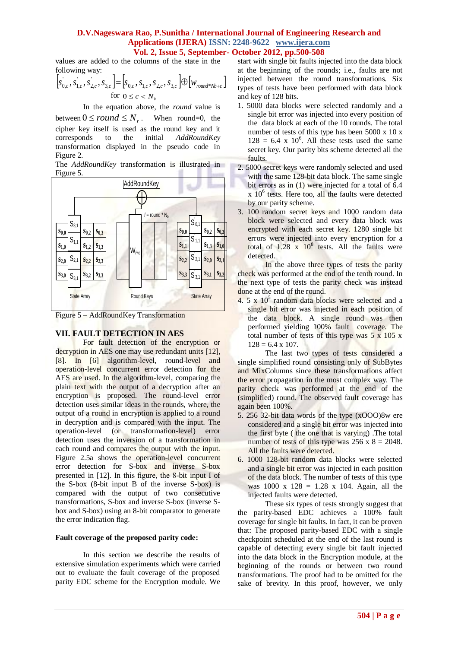values are added to the columns of the state in the following way:

$$
\[s_{0,c}^{\dagger}, s_{1,c}^{\dagger}, s_{2,c}^{\dagger}, s_{3,c}^{\dagger}\] = \[s_{0,c}^{\dagger}, s_{1,c}^{\dagger}, s_{2,c}^{\dagger}, s_{3,c}^{\dagger}\] \oplus \[w_{round^*Nb+c}\]
$$
  
for  $0 \le c < N_b$ 

In the equation above, the *round* value is

between  $0 \le$  *round*  $\le$   $N_r$ . When round=0, the cipher key itself is used as the round key and it corresponds to the initial *AddRoundKey* transformation displayed in the pseudo code in Figure 2.

The *AddRoundKey* transformation is illustrated in Figure 5.



Figure 5 – AddRoundKey Transformation

# **VII. FAULT DETECTION IN AES**

For fault detection of the encryption or decryption in AES one may use redundant units [12], [8]. In [6] algorithm-level, round-level and operation-level concurrent error detection for the AES are used. In the algorithm-level, comparing the plain text with the output of a decryption after an encryption is proposed. The round-level error detection uses similar ideas in the rounds, where, the output of a round in encryption is applied to a round in decryption and is compared with the input. The operation-level (or transformation-level) error detection uses the inversion of a transformation in each round and compares the output with the input. Figure 2.5a shows the operation-level concurrent error detection for S-box and inverse S-box presented in [12]. In this figure, the 8-bit input I of the S-box (8-bit input B of the inverse S-box) is compared with the output of two consecutive transformations, S-box and inverse S-box (inverse Sbox and S-box) using an 8-bit comparator to generate the error indication flag.

# **Fault coverage of the proposed parity code:**

In this section we describe the results of extensive simulation experiments which were carried out to evaluate the fault coverage of the proposed parity EDC scheme for the Encryption module. We start with single bit faults injected into the data block at the beginning of the rounds; i.e., faults are not injected between the round transformations. Six types of tests have been performed with data block and key of 128 bits.

- 1. 5000 data blocks were selected randomly and a single bit error was injected into every position of the data block at each of the 10 rounds. The total number of tests of this type has been  $5000 \times 10 \times$  $128 = 6.4$  x  $10^6$ . All these tests used the same secret key. Our parity bits scheme detected all the faults.
- 2. 5000 secret keys were randomly selected and used with the same 128-bit data block. The same single bit errors as in (1) were injected for a total of 6.4  $x$   $10<sup>6</sup>$  tests. Here too, all the faults were detected by our parity scheme.
- 3. 100 random secret keys and 1000 random data block were selected and every data block was encrypted with each secret key. 1280 single bit errors were injected into every encryption for a total of  $1.28 \times 10^8$  tests. All the faults were detected.

In the above three types of tests the parity check was performed at the end of the tenth round. In the next type of tests the parity check was instead done at the end of the round.

 $4.5 \times 10^5$  random data blocks were selected and a single bit error was injected in each position of the data block. A single round was then performed yielding 100% fault coverage. The total number of tests of this type was  $5 \times 105 \times$  $128 = 6.4 \times 107$ .

The last two types of tests considered a single simplified round consisting only of SubBytes and MixColumns since these transformations affect the error propagation in the most complex way. The parity check was performed at the end of the (simplified) round. The observed fault coverage has again been 100%.

- 5. 256 32-bit data words of the type (xOOO)8w ere considered and a single bit error was injected into the first byte ( the one that is varying) .The total number of tests of this type was  $256 \times 8 = 2048$ . All the faults were detected.
- 6. 1000 128-bit random data blocks were selected and a single bit error was injected in each position of the data block. The number of tests of this type was  $1000 \times 128 = 1.28 \times 104$ . Again, all the injected faults were detected.

These six types of tests strongly suggest that the parity-based EDC achieves a 100% fault coverage for single bit faults. In fact, it can be proven that: The proposed parity-based EDC with a single checkpoint scheduled at the end of the last round is capable of detecting every single bit fault injected into the data block in the Encryption module, at the beginning of the rounds or between two round transformations. The proof had to be omitted for the sake of brevity. In this proof, however, we only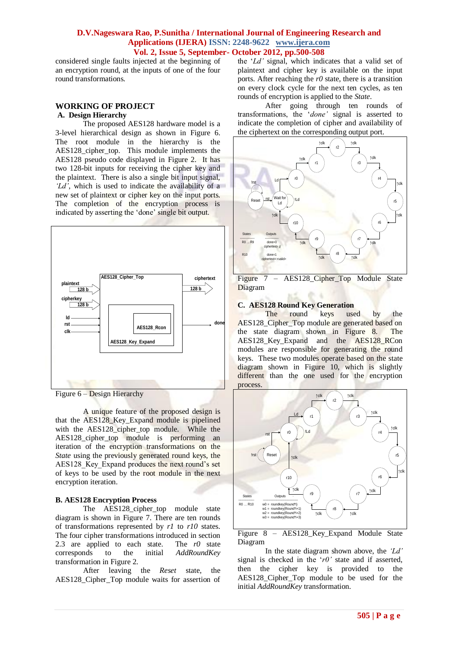considered single faults injected at the beginning of an encryption round, at the inputs of one of the four round transformations.

# **WORKING OF PROJECT A. Design Hierarchy**

The proposed AES128 hardware model is a 3-level hierarchical design as shown in Figure 6. The root module in the hierarchy is the AES128\_cipher\_top. This module implements the AES128 pseudo code displayed in Figure 2. It has two 128-bit inputs for receiving the cipher key and the plaintext. There is also a single bit input signal, *"Ld"*, which is used to indicate the availability of a new set of plaintext or cipher key on the input ports. The completion of the encryption process is indicated by asserting the "done" single bit output.



Figure 6 – Design Hierarchy

A unique feature of the proposed design is that the AES128\_Key\_Expand module is pipelined with the AES128\_cipher\_top module. While the AES128 cipher top module is performing an iteration of the encryption transformations on the *State* using the previously generated round keys, the AES128 Key Expand produces the next round's set of keys to be used by the root module in the next encryption iteration.

# **B. AES128 Encryption Process**

The AES128\_cipher\_top module state diagram is shown in Figure 7. There are ten rounds of transformations represented by *r1* to *r10* states. The four cipher transformations introduced in section 2.3 are applied to each state. The *r0* state corresponds to the initial *AddRoundKey* transformation in Figure 2.

After leaving the *Reset* state, the AES128\_Cipher\_Top module waits for assertion of

the "*Ld"* signal, which indicates that a valid set of plaintext and cipher key is available on the input ports. After reaching the *r0* state, there is a transition on every clock cycle for the next ten cycles, as ten rounds of encryption is applied to the *State*.

After going through ten rounds of transformations, the "*done"* signal is asserted to indicate the completion of cipher and availability of the ciphertext on the corresponding output port.



Figure 7 – AES128\_Cipher\_Top Module State Diagram

# **C. AES128 Round Key Generation**

The round keys used by the AES128\_Cipher\_Top module are generated based on the state diagram shown in Figure 8. The AES128\_Key\_Expand and the AES128\_RCon modules are responsible for generating the round keys. These two modules operate based on the state diagram shown in Figure 10, which is slightly different than the one used for the encryption process.



Figure 8 – AES128\_Key\_Expand Module State Diagram

In the state diagram shown above, the *"Ld"*  signal is checked in the "*r0"* state and if asserted, then the cipher key is provided to the AES128\_Cipher\_Top module to be used for the initial *AddRoundKey* transformation.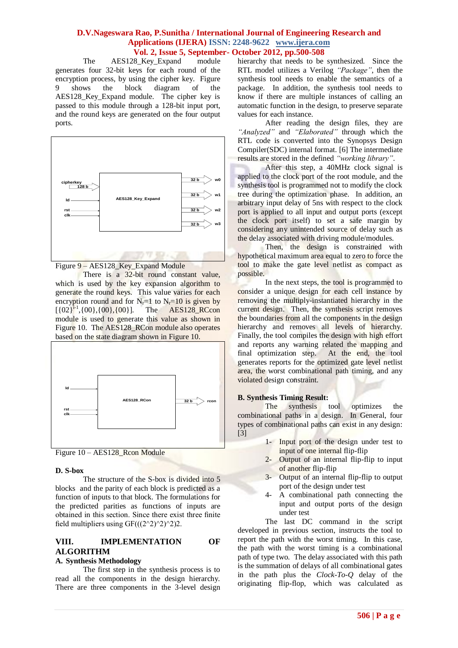The AES128 Key Expand module generates four 32-bit keys for each round of the encryption process, by using the cipher key. Figure 9 shows the block diagram of the AES128\_Key\_Expand module. The cipher key is passed to this module through a 128-bit input port, and the round keys are generated on the four output ports.



Figure 9 – AES128 Key Expand Module

There is a 32-bit round constant value, which is used by the key expansion algorithm to generate the round keys. This value varies for each encryption round and for  $N_r=1$  to  $N_r=10$  is given by  $[{02}^1, {00}, {00}, {00}]$ . The AES128 RCcon module is used to generate this value as shown in Figure 10. The AES128\_RCon module also operates based on the state diagram shown in Figure 10.





#### **D. S-box**

The structure of the S-box is divided into 5 blocks and the parity of each block is predicted as a function of inputs to that block. The formulations for the predicted parities as functions of inputs are obtained in this section. Since there exist three finite field multipliers using  $GF(((2^2)^2)^2)^2)$ .

# **VIII. IMPLEMENTATION OF ALGORITHM**

#### **A. Synthesis Methodology**

The first step in the synthesis process is to read all the components in the design hierarchy. There are three components in the 3-level design

hierarchy that needs to be synthesized. Since the RTL model utilizes a Verilog *"Package"*, then the synthesis tool needs to enable the semantics of a package. In addition, the synthesis tool needs to know if there are multiple instances of calling an automatic function in the design, to preserve separate values for each instance.

After reading the design files, they are *"Analyzed"* and *"Elaborated"* through which the RTL code is converted into the Synopsys Design Compiler(SDC) internal format. [6] The intermediate results are stored in the defined *"working library"*.

After this step, a 40MHz clock signal is applied to the clock port of the root module, and the synthesis tool is programmed not to modify the clock tree during the optimization phase. In addition, an arbitrary input delay of 5ns with respect to the clock port is applied to all input and output ports (except the clock port itself) to set a safe margin by considering any unintended source of delay such as the delay associated with driving module/modules.

Then, the design is constrained with hypothetical maximum area equal to zero to force the tool to make the gate level netlist as compact as possible.

In the next steps, the tool is programmed to consider a unique design for each cell instance by removing the multiply-instantiated hierarchy in the current design. Then, the synthesis script removes the boundaries from all the components in the design hierarchy and removes all levels of hierarchy. Finally, the tool compiles the design with high effort and reports any warning related the mapping and final optimization step. At the end, the tool generates reports for the optimized gate level netlist area, the worst combinational path timing, and any violated design constraint.

#### **B. Synthesis Timing Result:**

The synthesis tool optimizes the combinational paths in a design. In General, four types of combinational paths can exist in any design: [3]

- 1- Input port of the design under test to input of one internal flip-flip
- 2- Output of an internal flip-flip to input of another flip-flip
- 3- Output of an internal flip-flip to output port of the design under test
- 4- A combinational path connecting the input and output ports of the design under test

The last DC command in the script developed in previous section, instructs the tool to report the path with the worst timing. In this case, the path with the worst timing is a combinational path of type two. The delay associated with this path is the summation of delays of all combinational gates in the path plus the *Clock-To-Q* delay of the originating flip-flop, which was calculated as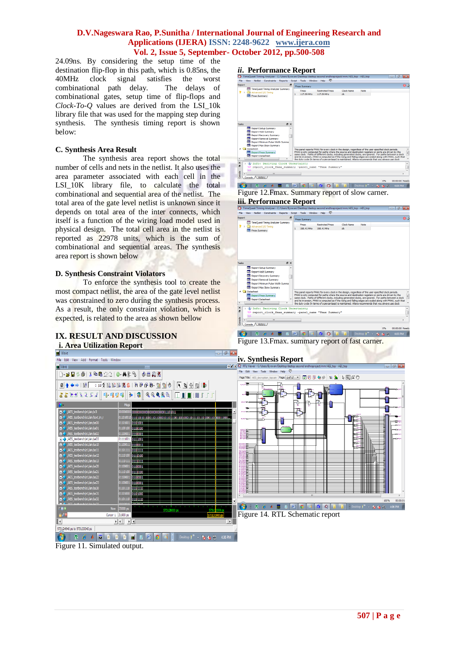24.09ns. By considering the setup time of the destination flip-flop in this path, which is 0.85ns, the 40MHz clock signal satisfies the worst combinational path delay. The delays of combinational gates, setup time of flip-flops and *Clock-To-Q* values are derived from the LSI\_10k library file that was used for the mapping step during synthesis. The synthesis timing report is shown below:

# **C. Synthesis Area Result**

The synthesis area report shows the total number of cells and nets in the netlist. It also uses the area parameter associated with each cell in the LSI 10K library file, to calculate the total combinational and sequential area of the netlist. The total area of the gate level netlist is unknown since it depends on total area of the inter connects, which itself is a function of the wiring load model used in physical design. The total cell area in the netlist is reported as 22978 units, which is the sum of combinational and sequential areas. The synthesis area report is shown below

# **D. Synthesis Constraint Violators**

To enforce the synthesis tool to create the most compact netlist, the area of the gate level netlist was constrained to zero during the synthesis process. As a result, the only constraint violation, which is expected, is related to the area as shown bellow

# **IX. RESULT AND DISCUSSION i. Area Utilization Report**

**RE** Wave



# *ii***. Performance Report** neQuest Timing Analyzer - C:/Us<br>Mew - Netlist - Constraints - Ren



Figure 12.Fmax. Summary report of slow carner. **iii. Performance Report**



Figure 13.Fmax. summary report of fast carner.



Figure 11. Simulated output.